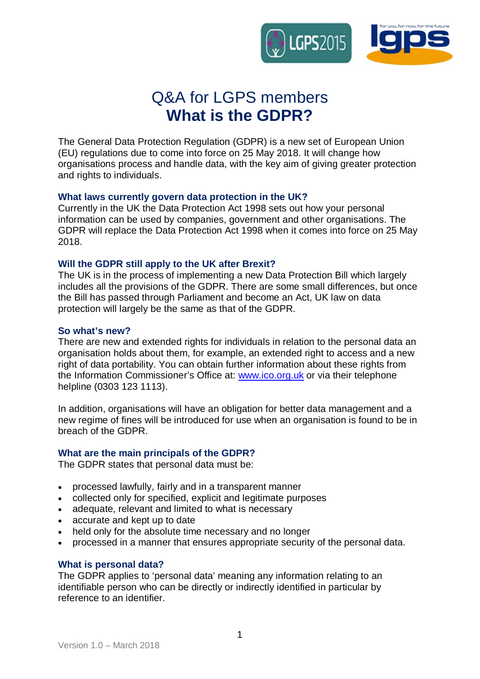

# Q&A for LGPS members **What is the GDPR?**

The General Data Protection Regulation (GDPR) is a new set of European Union (EU) regulations due to come into force on 25 May 2018. It will change how organisations process and handle data, with the key aim of giving greater protection and rights to individuals.

# **What laws currently govern data protection in the UK?**

Currently in the UK the Data Protection Act 1998 sets out how your personal information can be used by companies, government and other organisations. The GDPR will replace the Data Protection Act 1998 when it comes into force on 25 May 2018.

# **Will the GDPR still apply to the UK after Brexit?**

The UK is in the process of implementing a new Data Protection Bill which largely includes all the provisions of the GDPR. There are some small differences, but once the Bill has passed through Parliament and become an Act, UK law on data protection will largely be the same as that of the GDPR.

# **So what's new?**

There are new and extended rights for individuals in relation to the personal data an organisation holds about them, for example, an extended right to access and a new right of data portability. You can obtain further information about these rights from the Information Commissioner's Office at: www.ico.org.uk or via their telephone helpline (0303 123 1113).

In addition, organisations will have an obligation for better data management and a new regime of fines will be introduced for use when an organisation is found to be in breach of the GDPR.

## **What are the main principals of the GDPR?**

The GDPR states that personal data must be:

- processed lawfully, fairly and in a transparent manner
- � collected only for specified, explicit and legitimate purposes
- adequate, relevant and limited to what is necessary
- accurate and kept up to date
- held only for the absolute time necessary and no longer
- � processed in a manner that ensures appropriate security of the personal data.

## **What is personal data?**

The GDPR applies to 'personal data' meaning any information relating to an identifiable person who can be directly or indirectly identified in particular by reference to an identifier.